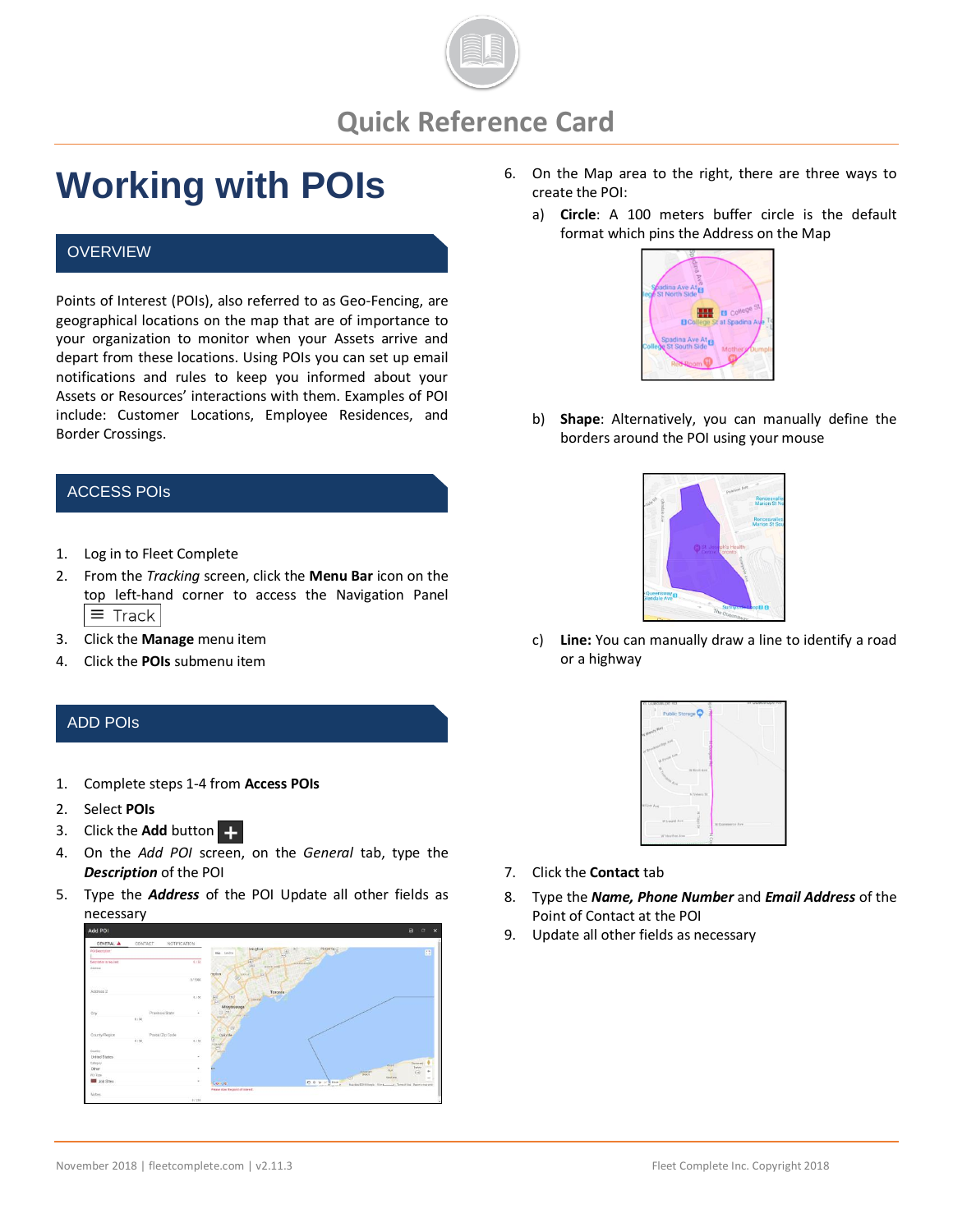

# **Working with POIs**

#### **OVERVIEW**

Points of Interest (POIs), also referred to as Geo-Fencing, are geographical locations on the map that are of importance to your organization to monitor when your Assets arrive and depart from these locations. Using POIs you can set up email notifications and rules to keep you informed about your Assets or Resources' interactions with them. Examples of POI include: Customer Locations, Employee Residences, and Border Crossings.

### ACCESS POIs

- 1. Log in to Fleet Complete
- 2. From the *Tracking* screen, click the **Menu Bar** icon on the top left-hand corner to access the Navigation Panel  $\equiv$  Track
- 3. Click the **Manage** menu item
- 4. Click the **POIs** submenu item

#### ADD POIs

- 1. Complete steps 1-4 from **Access POIs**
- 2. Select **POIs**
- 3. Click the **Add** button
- 4. On the *Add POI* screen, on the *General* tab, type the *Description* of the POI
- 5. Type the *Address* of the POI Update all other fields as necessary



- 6. On the Map area to the right, there are three ways to create the POI:
	- a) **Circle**: A 100 meters buffer circle is the default format which pins the Address on the Map



b) **Shape**: Alternatively, you can manually define the borders around the POI using your mouse



c) **Line:** You can manually draw a line to identify a road or a highway



- 7. Click the **Contact** tab
- 8. Type the *Name, Phone Number* and *Email Address* of the Point of Contact at the POI
- 9. Update all other fields as necessary